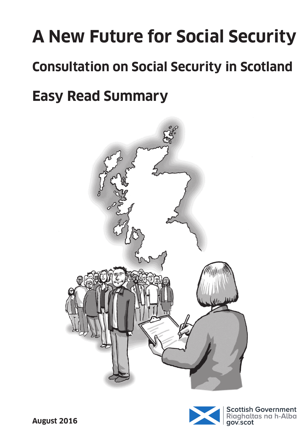# **A New Future for Social Security Consultation on Social Security in Scotland Easy Read Summary**



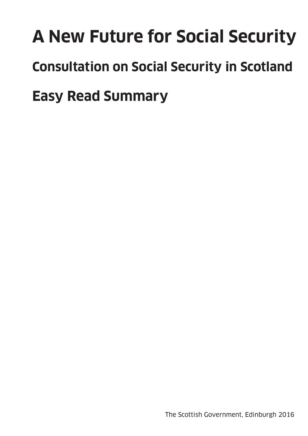# **A New Future for Social Security Consultation on Social Security in Scotland Easy Read Summary**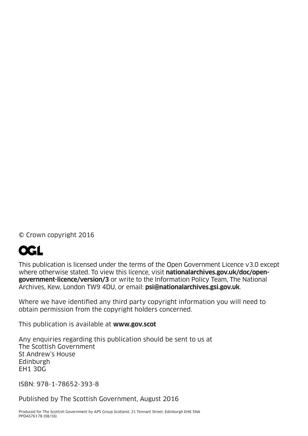© Crown copyright 2016

# **OGL**

This publication is licensed under the terms of the Open Government Licence v3.0 except where otherwise stated. To view this licence, visit **nationalarchives.gov.uk/doc/opengovernment-licence/version/3** or write to the Information Policy Team, The National Archives, Kew, London TW9 4DU, or email: **psi@nationalarchives.gsi.gov.uk**.

Where we have identified any third party copyright information you will need to obtain permission from the copyright holders concerned.

This publication is available at **www.gov.scot**

Any enquiries regarding this publication should be sent to us at The Scottish Government St Andrew's House **Edinburgh** EH1 3DG

ISBN: 978-1-78652-393-8

Published by The Scottish Government, August 2016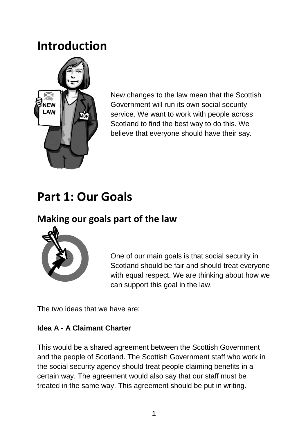## **Introduction**



New changes to the law mean that the Scottish Government will run its own social security service. We want to work with people across Scotland to find the best way to do this. We believe that everyone should have their say.

# **Part 1: Our Goals**

## **Making our goals part of the law**



One of our main goals is that social security in Scotland should be fair and should treat everyone with equal respect. We are thinking about how we can support this goal in the law.

The two ideas that we have are:

#### **Idea A - A Claimant Charter**

This would be a shared agreement between the Scottish Government and the people of Scotland. The Scottish Government staff who work in the social security agency should treat people claiming benefits in a certain way. The agreement would also say that our staff must be treated in the same way. This agreement should be put in writing.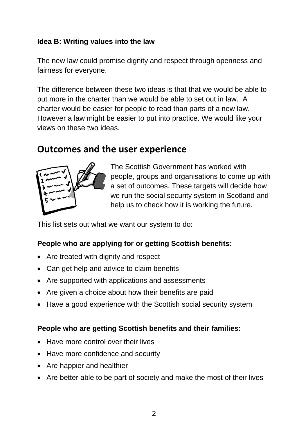#### **Idea B: Writing values into the law**

The new law could promise dignity and respect through openness and fairness for everyone.

The difference between these two ideas is that that we would be able to put more in the charter than we would be able to set out in law. A charter would be easier for people to read than parts of a new law. However a law might be easier to put into practice. We would like your views on these two ideas.

#### **Outcomes and the user experience**



The Scottish Government has worked with people, groups and organisations to come up with a set of outcomes. These targets will decide how we run the social security system in Scotland and help us to check how it is working the future.

This list sets out what we want our system to do:

#### **People who are applying for or getting Scottish benefits:**

- Are treated with dignity and respect
- Can get help and advice to claim benefits
- Are supported with applications and assessments
- Are given a choice about how their benefits are paid
- Have a good experience with the Scottish social security system

#### **People who are getting Scottish benefits and their families:**

- Have more control over their lives
- Have more confidence and security
- Are happier and healthier
- Are better able to be part of society and make the most of their lives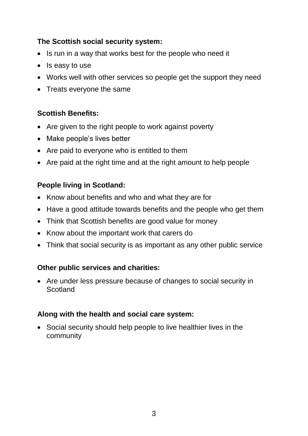#### **The Scottish social security system:**

- Is run in a way that works best for the people who need it
- Is easy to use
- Works well with other services so people get the support they need
- Treats everyone the same

#### **Scottish Benefits:**

- Are given to the right people to work against poverty
- Make people's lives better
- Are paid to everyone who is entitled to them
- Are paid at the right time and at the right amount to help people

#### **People living in Scotland:**

- Know about benefits and who and what they are for
- Have a good attitude towards benefits and the people who get them
- Think that Scottish benefits are good value for money
- Know about the important work that carers do
- Think that social security is as important as any other public service

#### **Other public services and charities:**

 Are under less pressure because of changes to social security in Scotland

#### **Along with the health and social care system:**

 Social security should help people to live healthier lives in the community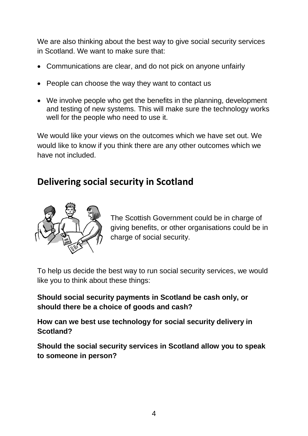We are also thinking about the best way to give social security services in Scotland. We want to make sure that:

- Communications are clear, and do not pick on anyone unfairly
- People can choose the way they want to contact us
- We involve people who get the benefits in the planning, development and testing of new systems. This will make sure the technology works well for the people who need to use it.

We would like your views on the outcomes which we have set out. We would like to know if you think there are any other outcomes which we have not included.

## **Delivering social security in Scotland**



The Scottish Government could be in charge of giving benefits, or other organisations could be in charge of social security.

To help us decide the best way to run social security services, we would like you to think about these things:

**Should social security payments in Scotland be cash only, or should there be a choice of goods and cash?**

**How can we best use technology for social security delivery in Scotland?** 

**Should the social security services in Scotland allow you to speak to someone in person?**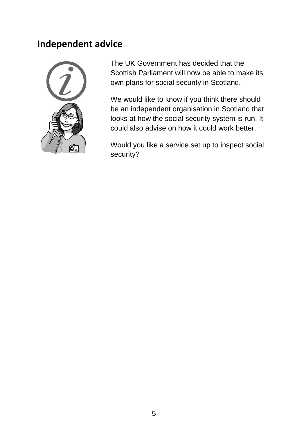#### **Independent advice**



The UK Government has decided that the Scottish Parliament will now be able to make its own plans for social security in Scotland.

We would like to know if you think there should be an independent organisation in Scotland that looks at how the social security system is run. It could also advise on how it could work better.

Would you like a service set up to inspect social security?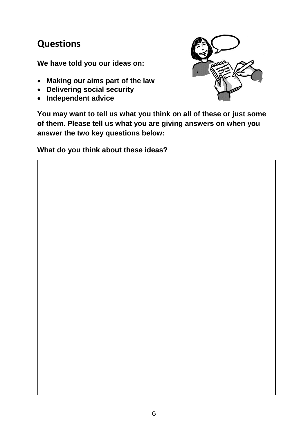## **Questions**

**We have told you our ideas on:**

- **Making our aims part of the law**
- **Delivering social security**
- **Independent advice**



**You may want to tell us what you think on all of these or just some of them. Please tell us what you are giving answers on when you answer the two key questions below:**

**What do you think about these ideas?**

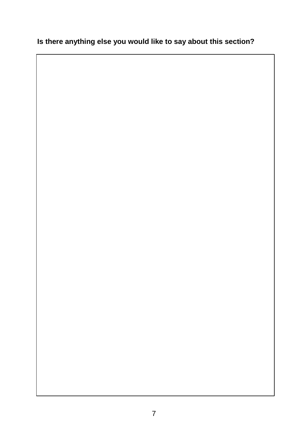#### **Is there anything else you would like to say about this section?**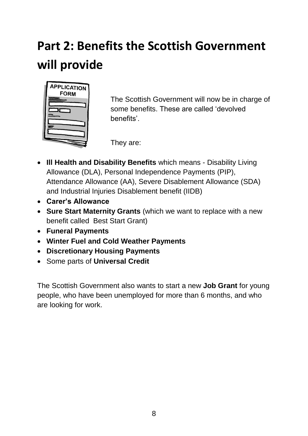# **Part 2: Benefits the Scottish Government will provide**



The Scottish Government will now be in charge of some benefits. These are called 'devolved benefits'.

They are:

- **Ill Health and Disability Benefits** which means Disability Living Allowance (DLA), Personal Independence Payments (PIP), Attendance Allowance (AA), Severe Disablement Allowance (SDA) and Industrial Injuries Disablement benefit (IIDB)
- **Carer's Allowance**
- **Sure Start Maternity Grants** (which we want to replace with a new benefit called Best Start Grant)
- **Funeral Payments**
- **Winter Fuel and Cold Weather Payments**
- **Discretionary Housing Payments**
- Some parts of **Universal Credit**

The Scottish Government also wants to start a new **Job Grant** for young people, who have been unemployed for more than 6 months, and who are looking for work.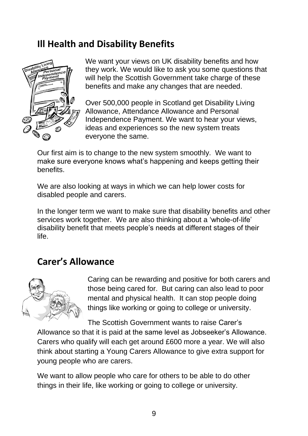## **Ill Health and Disability Benefits**



We want your views on UK disability benefits and how they work. We would like to ask you some questions that will help the Scottish Government take charge of these benefits and make any changes that are needed.

Over 500,000 people in Scotland get Disability Living Allowance, Attendance Allowance and Personal Independence Payment. We want to hear your views, ideas and experiences so the new system treats everyone the same.

Our first aim is to change to the new system smoothly. We want to make sure everyone knows what's happening and keeps getting their benefits.

We are also looking at ways in which we can help lower costs for disabled people and carers.

In the longer term we want to make sure that disability benefits and other services work together. We are also thinking about a 'whole-of-life' disability benefit that meets people's needs at different stages of their life.

#### **Carer's Allowance**



Caring can be rewarding and positive for both carers and those being cared for. But caring can also lead to poor mental and physical health. It can stop people doing things like working or going to college or university.

The Scottish Government wants to raise Carer's

Allowance so that it is paid at the same level as Jobseeker's Allowance. Carers who qualify will each get around £600 more a year. We will also think about starting a Young Carers Allowance to give extra support for young people who are carers.

We want to allow people who care for others to be able to do other things in their life, like working or going to college or university.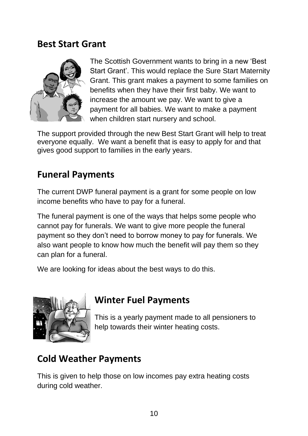#### **Best Start Grant**



The Scottish Government wants to bring in a new 'Best Start Grant'. This would replace the Sure Start Maternity Grant. This grant makes a payment to some families on benefits when they have their first baby. We want to increase the amount we pay. We want to give a payment for all babies. We want to make a payment when children start nursery and school.

The support provided through the new Best Start Grant will help to treat everyone equally. We want a benefit that is easy to apply for and that gives good support to families in the early years.

### **Funeral Payments**

The current DWP funeral payment is a grant for some people on low income benefits who have to pay for a funeral.

The funeral payment is one of the ways that helps some people who cannot pay for funerals. We want to give more people the funeral payment so they don't need to borrow money to pay for funerals. We also want people to know how much the benefit will pay them so they can plan for a funeral.

We are looking for ideas about the best ways to do this.



### **Winter Fuel Payments**

This is a yearly payment made to all pensioners to help towards their winter heating costs.

## **Cold Weather Payments**

This is given to help those on low incomes pay extra heating costs during cold weather.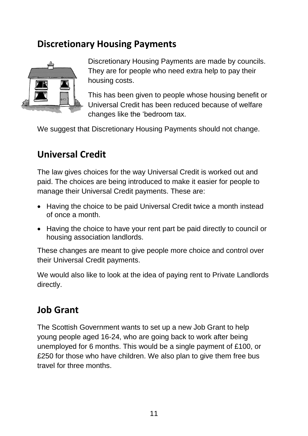## **Discretionary Housing Payments**



Discretionary Housing Payments are made by councils. They are for people who need extra help to pay their housing costs.

This has been given to people whose housing benefit or Universal Credit has been reduced because of welfare changes like the 'bedroom tax.

We suggest that Discretionary Housing Payments should not change.

## **Universal Credit**

The law gives choices for the way Universal Credit is worked out and paid. The choices are being introduced to make it easier for people to manage their Universal Credit payments. These are:

- Having the choice to be paid Universal Credit twice a month instead of once a month.
- Having the choice to have your rent part be paid directly to council or housing association landlords.

These changes are meant to give people more choice and control over their Universal Credit payments.

We would also like to look at the idea of paying rent to Private Landlords directly.

### **Job Grant**

The Scottish Government wants to set up a new Job Grant to help young people aged 16-24, who are going back to work after being unemployed for 6 months. This would be a single payment of £100, or £250 for those who have children. We also plan to give them free bus travel for three months.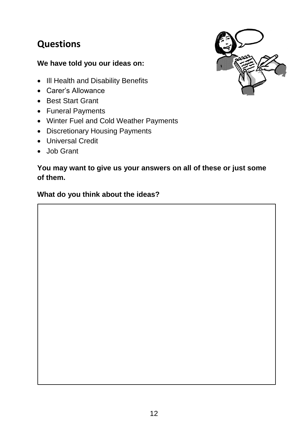## **Questions**

#### **We have told you our ideas on:**

- III Health and Disability Benefits
- Carer's Allowance
- Best Start Grant
- Funeral Payments
- Winter Fuel and Cold Weather Payments
- Discretionary Housing Payments
- Universal Credit
- Job Grant

#### **You may want to give us your answers on all of these or just some of them.**

#### **What do you think about the ideas?**

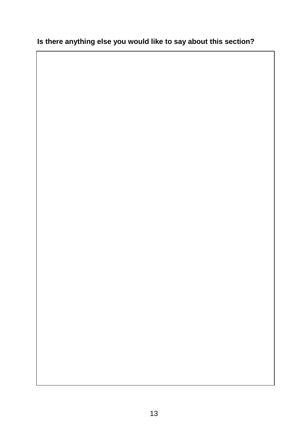#### **Is there anything else you would like to say about this section?**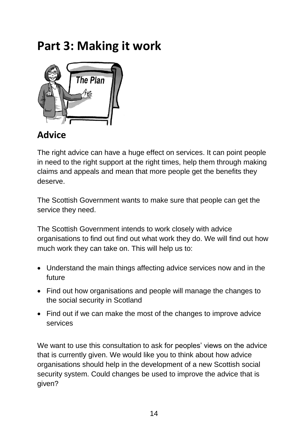## **Part 3: Making it work**



## **Advice**

The right advice can have a huge effect on services. It can point people in need to the right support at the right times, help them through making claims and appeals and mean that more people get the benefits they deserve.

The Scottish Government wants to make sure that people can get the service they need.

The Scottish Government intends to work closely with advice organisations to find out find out what work they do. We will find out how much work they can take on. This will help us to:

- Understand the main things affecting advice services now and in the future
- Find out how organisations and people will manage the changes to the social security in Scotland
- Find out if we can make the most of the changes to improve advice services

We want to use this consultation to ask for peoples' views on the advice that is currently given. We would like you to think about how advice organisations should help in the development of a new Scottish social security system. Could changes be used to improve the advice that is given?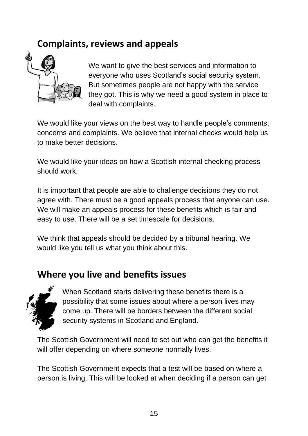## **Complaints, reviews and appeals**



We want to give the best services and information to everyone who uses Scotland's social security system. But sometimes people are not happy with the service they got. This is why we need a good system in place to deal with complaints.

We would like your views on the best way to handle people's comments, concerns and complaints. We believe that internal checks would help us to make better decisions.

We would like your ideas on how a Scottish internal checking process should work.

It is important that people are able to challenge decisions they do not agree with. There must be a good appeals process that anyone can use. We will make an appeals process for these benefits which is fair and easy to use. There will be a set timescale for decisions.

We think that appeals should be decided by a tribunal hearing. We would like you tell us what you think about this.

### **Where you live and benefits issues**



When Scotland starts delivering these benefits there is a possibility that some issues about where a person lives may come up. There will be borders between the different social security systems in Scotland and England.

The Scottish Government will need to set out who can get the benefits it will offer depending on where someone normally lives.

The Scottish Government expects that a test will be based on where a person is living. This will be looked at when deciding if a person can get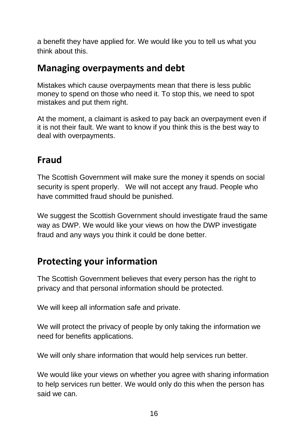a benefit they have applied for. We would like you to tell us what you think about this.

### **Managing overpayments and debt**

Mistakes which cause overpayments mean that there is less public money to spend on those who need it. To stop this, we need to spot mistakes and put them right.

At the moment, a claimant is asked to pay back an overpayment even if it is not their fault. We want to know if you think this is the best way to deal with overpayments.

## **Fraud**

The Scottish Government will make sure the money it spends on social security is spent properly. We will not accept any fraud. People who have committed fraud should be punished.

We suggest the Scottish Government should investigate fraud the same way as DWP. We would like your views on how the DWP investigate fraud and any ways you think it could be done better.

## **Protecting your information**

The Scottish Government believes that every person has the right to privacy and that personal information should be protected.

We will keep all information safe and private.

We will protect the privacy of people by only taking the information we need for benefits applications.

We will only share information that would help services run better.

We would like your views on whether you agree with sharing information to help services run better. We would only do this when the person has said we can.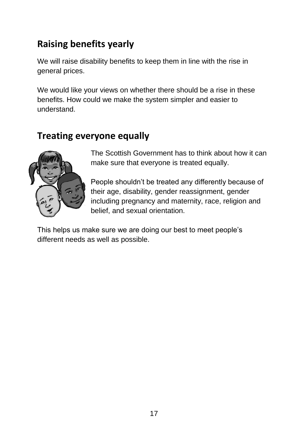## **Raising benefits yearly**

We will raise disability benefits to keep them in line with the rise in general prices.

We would like your views on whether there should be a rise in these benefits. How could we make the system simpler and easier to understand.

## **Treating everyone equally**



The Scottish Government has to think about how it can make sure that everyone is treated equally.

People shouldn't be treated any differently because of their age, disability, gender reassignment, gender including pregnancy and maternity, race, religion and belief, and sexual orientation.

This helps us make sure we are doing our best to meet people's different needs as well as possible.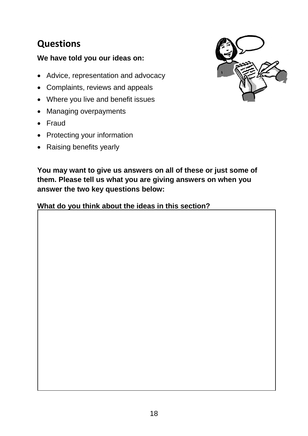## **Questions**

#### **We have told you our ideas on:**

- Advice, representation and advocacy
- Complaints, reviews and appeals
- Where you live and benefit issues
- Managing overpayments
- Fraud
- Protecting your information
- Raising benefits yearly



**You may want to give us answers on all of these or just some of them. Please tell us what you are giving answers on when you answer the two key questions below:**

#### **What do you think about the ideas in this section?**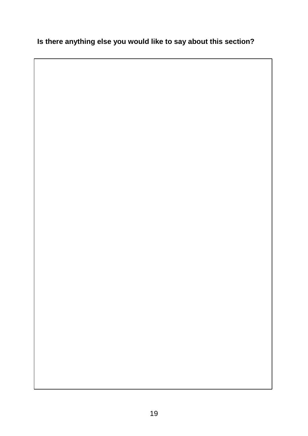#### **Is there anything else you would like to say about this section?**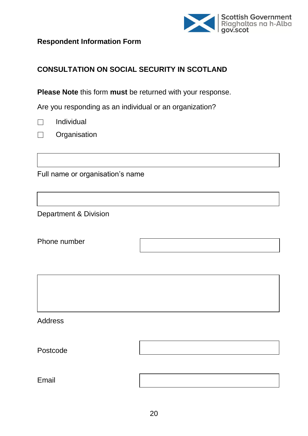

**Respondent Information Form**

#### **CONSULTATION ON SOCIAL SECURITY IN SCOTLAND**

**Please Note** this form **must** be returned with your response.

Are you responding as an individual or an organization?

| Individual |  |
|------------|--|
|------------|--|

**Organisation**  $\Box$ 

Full name or organisation's name

Department & Division

Phone number

**Address** 

Postcode

Email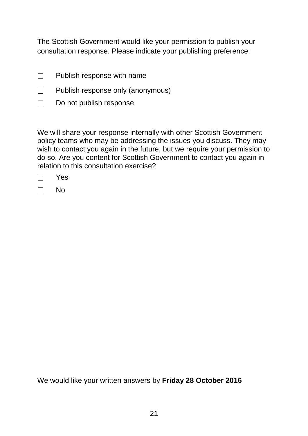The Scottish Government would like your permission to publish your consultation response. Please indicate your publishing preference:

- Publish response with name  $\Box$
- $\Box$ Publish response only (anonymous)
- $\Box$ Do not publish response

We will share your response internally with other Scottish Government policy teams who may be addressing the issues you discuss. They may wish to contact you again in the future, but we require your permission to do so. Are you content for Scottish Government to contact you again in relation to this consultation exercise?

No  $\Box$ 

We would like your written answers by **Friday 28 October 2016**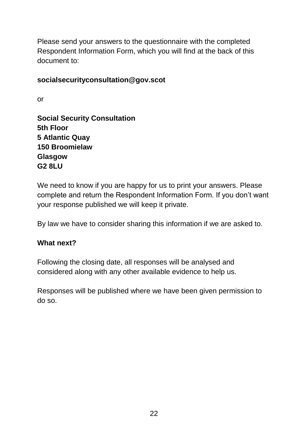Please send your answers to the questionnaire with the completed Respondent Information Form, which you will find at the back of this document to:

#### **socialsecurityconsultation@gov.scot**

or

**Social Security Consultation 5th Floor 5 Atlantic Quay 150 Broomielaw Glasgow G2 8LU**

We need to know if you are happy for us to print your answers. Please complete and return the Respondent Information Form. If you don't want your response published we will keep it private.

By law we have to consider sharing this information if we are asked to.

#### **What next?**

Following the closing date, all responses will be analysed and considered along with any other available evidence to help us.

Responses will be published where we have been given permission to do so.